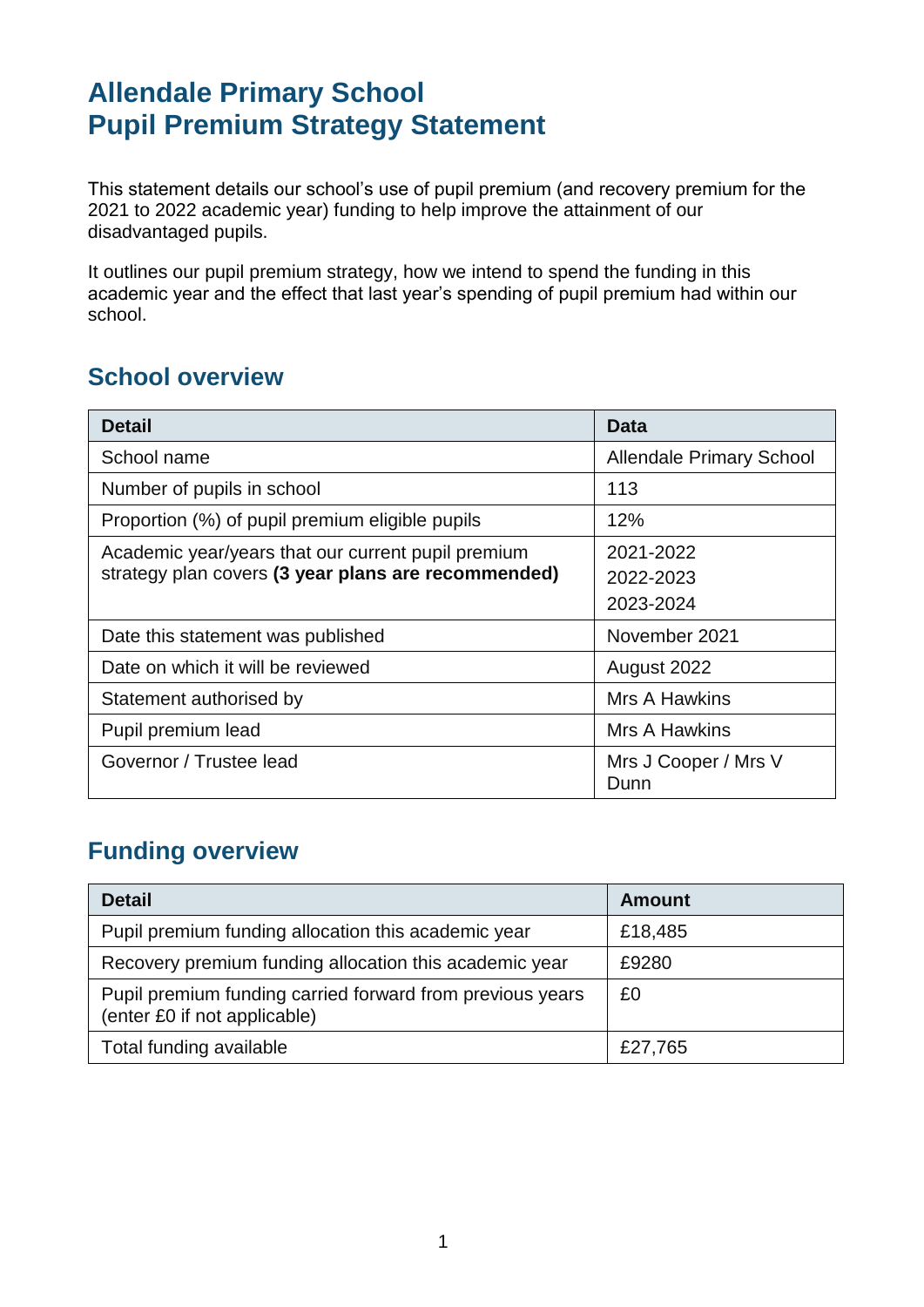# **Allendale Primary School Pupil Premium Strategy Statement**

This statement details our school's use of pupil premium (and recovery premium for the 2021 to 2022 academic year) funding to help improve the attainment of our disadvantaged pupils.

It outlines our pupil premium strategy, how we intend to spend the funding in this academic year and the effect that last year's spending of pupil premium had within our school.

### **School overview**

| <b>Detail</b>                                       | <b>Data</b>                     |
|-----------------------------------------------------|---------------------------------|
| School name                                         | <b>Allendale Primary School</b> |
| Number of pupils in school                          | 113                             |
| Proportion (%) of pupil premium eligible pupils     | 12%                             |
| Academic year/years that our current pupil premium  | 2021-2022                       |
| strategy plan covers (3 year plans are recommended) | 2022-2023                       |
|                                                     | 2023-2024                       |
| Date this statement was published                   | November 2021                   |
| Date on which it will be reviewed                   | August 2022                     |
| Statement authorised by                             | Mrs A Hawkins                   |
| Pupil premium lead                                  | Mrs A Hawkins                   |
| Governor / Trustee lead                             | Mrs J Cooper / Mrs V<br>Dunn    |

# **Funding overview**

| <b>Detail</b>                                                                             | <b>Amount</b> |
|-------------------------------------------------------------------------------------------|---------------|
| Pupil premium funding allocation this academic year                                       | £18,485       |
| Recovery premium funding allocation this academic year                                    | £9280         |
| Pupil premium funding carried forward from previous years<br>(enter £0 if not applicable) | £0            |
| Total funding available                                                                   | £27,765       |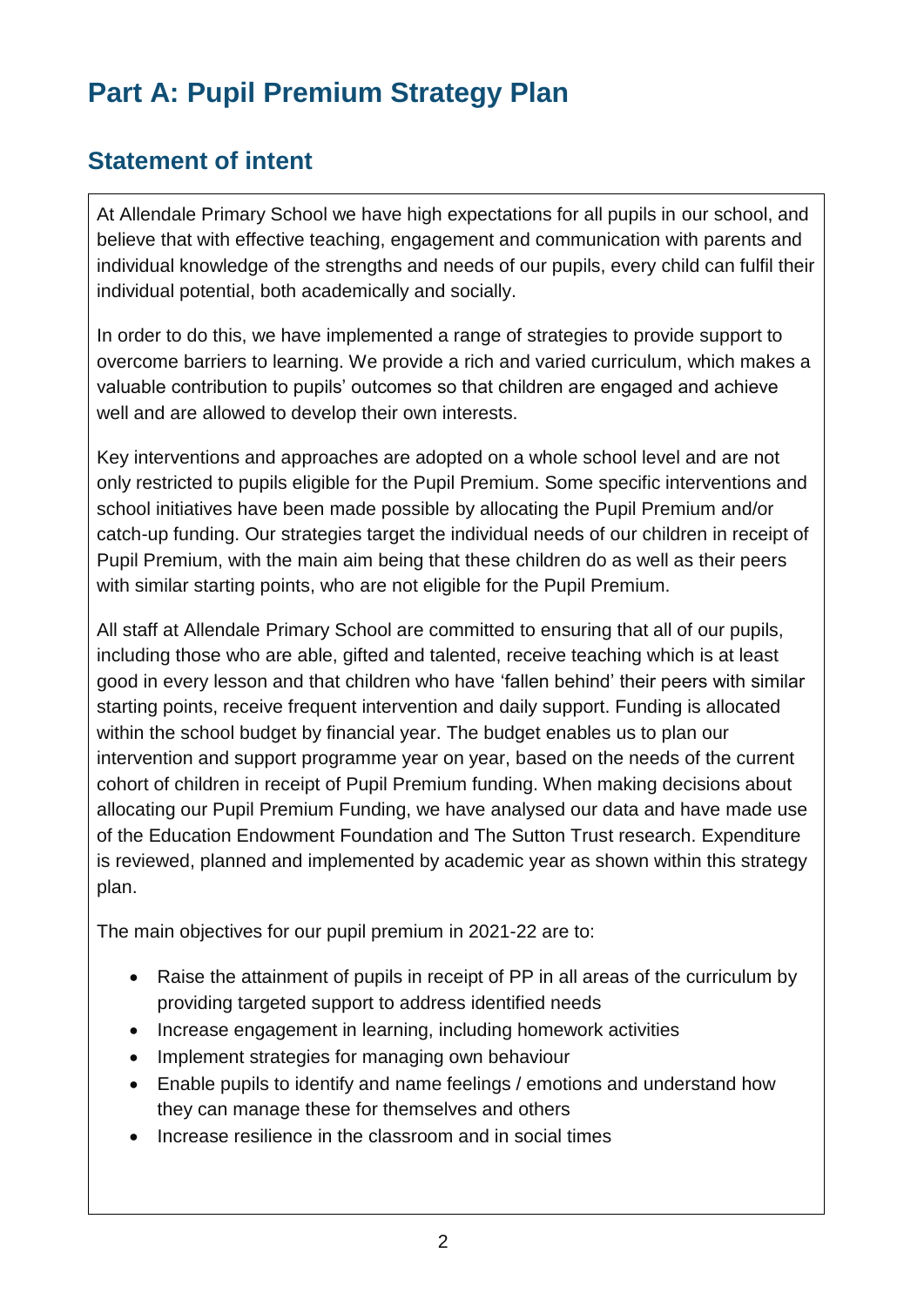# **Part A: Pupil Premium Strategy Plan**

# **Statement of intent**

At Allendale Primary School we have high expectations for all pupils in our school, and believe that with effective teaching, engagement and communication with parents and individual knowledge of the strengths and needs of our pupils, every child can fulfil their individual potential, both academically and socially.

In order to do this, we have implemented a range of strategies to provide support to overcome barriers to learning. We provide a rich and varied curriculum, which makes a valuable contribution to pupils' outcomes so that children are engaged and achieve well and are allowed to develop their own interests.

Key interventions and approaches are adopted on a whole school level and are not only restricted to pupils eligible for the Pupil Premium. Some specific interventions and school initiatives have been made possible by allocating the Pupil Premium and/or catch-up funding. Our strategies target the individual needs of our children in receipt of Pupil Premium, with the main aim being that these children do as well as their peers with similar starting points, who are not eligible for the Pupil Premium.

All staff at Allendale Primary School are committed to ensuring that all of our pupils, including those who are able, gifted and talented, receive teaching which is at least good in every lesson and that children who have 'fallen behind' their peers with similar starting points, receive frequent intervention and daily support. Funding is allocated within the school budget by financial year. The budget enables us to plan our intervention and support programme year on year, based on the needs of the current cohort of children in receipt of Pupil Premium funding. When making decisions about allocating our Pupil Premium Funding, we have analysed our data and have made use of the Education Endowment Foundation and The Sutton Trust research. Expenditure is reviewed, planned and implemented by academic year as shown within this strategy plan.

The main objectives for our pupil premium in 2021-22 are to:

- Raise the attainment of pupils in receipt of PP in all areas of the curriculum by providing targeted support to address identified needs
- Increase engagement in learning, including homework activities
- Implement strategies for managing own behaviour
- Enable pupils to identify and name feelings / emotions and understand how they can manage these for themselves and others
- Increase resilience in the classroom and in social times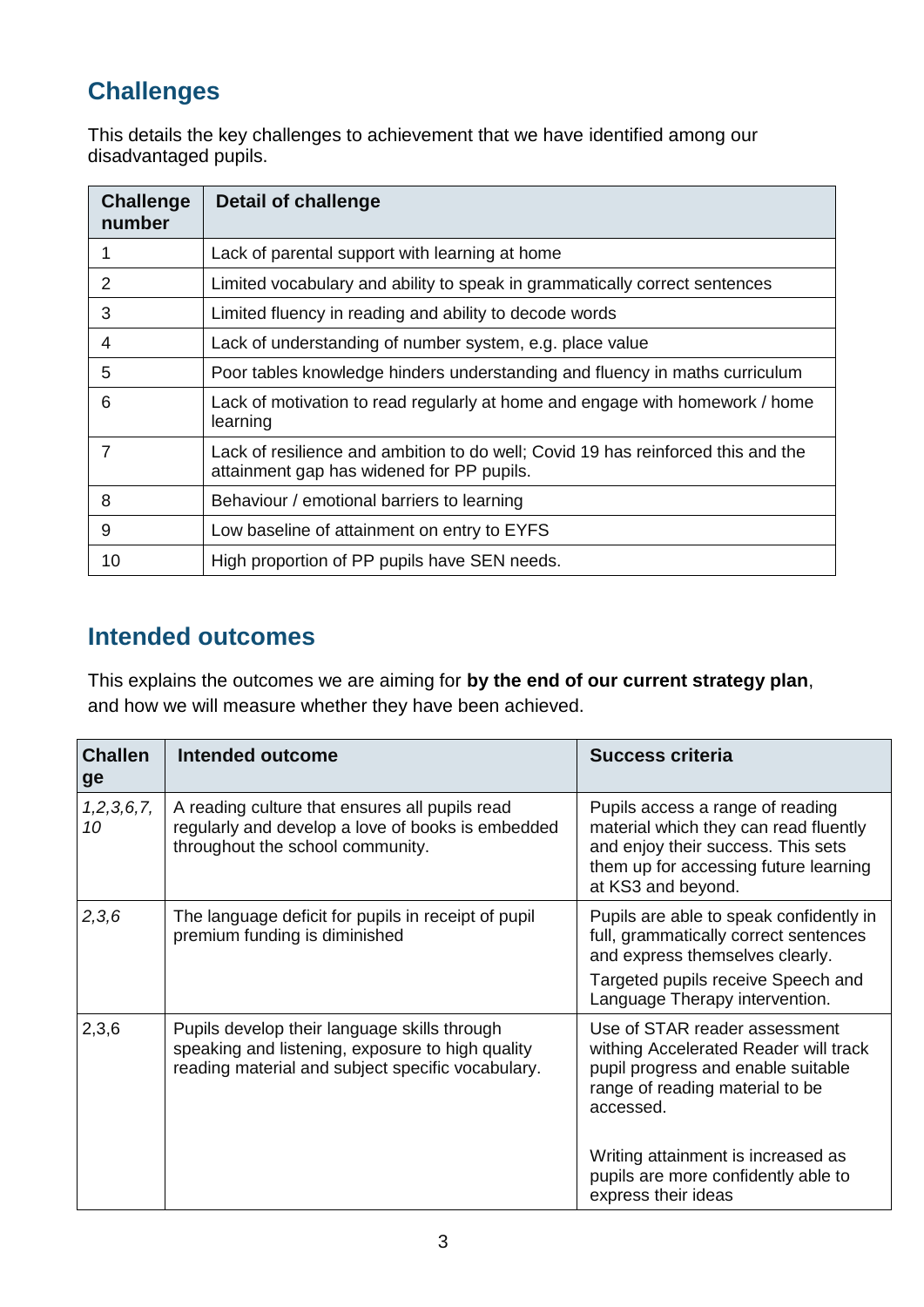# **Challenges**

This details the key challenges to achievement that we have identified among our disadvantaged pupils.

| <b>Challenge</b><br>number | <b>Detail of challenge</b>                                                                                                    |
|----------------------------|-------------------------------------------------------------------------------------------------------------------------------|
| 1                          | Lack of parental support with learning at home                                                                                |
| 2                          | Limited vocabulary and ability to speak in grammatically correct sentences                                                    |
| 3                          | Limited fluency in reading and ability to decode words                                                                        |
| 4                          | Lack of understanding of number system, e.g. place value                                                                      |
| 5                          | Poor tables knowledge hinders understanding and fluency in maths curriculum                                                   |
| 6                          | Lack of motivation to read regularly at home and engage with homework / home<br>learning                                      |
| 7                          | Lack of resilience and ambition to do well; Covid 19 has reinforced this and the<br>attainment gap has widened for PP pupils. |
| 8                          | Behaviour / emotional barriers to learning                                                                                    |
| 9                          | Low baseline of attainment on entry to EYFS                                                                                   |
| 10                         | High proportion of PP pupils have SEN needs.                                                                                  |

#### **Intended outcomes**

This explains the outcomes we are aiming for **by the end of our current strategy plan**, and how we will measure whether they have been achieved.

| <b>Challen</b><br>ge | <b>Intended outcome</b>                                                                                                                               | Success criteria                                                                                                                                                               |
|----------------------|-------------------------------------------------------------------------------------------------------------------------------------------------------|--------------------------------------------------------------------------------------------------------------------------------------------------------------------------------|
| 1, 2, 3, 6, 7,<br>10 | A reading culture that ensures all pupils read<br>regularly and develop a love of books is embedded<br>throughout the school community.               | Pupils access a range of reading<br>material which they can read fluently<br>and enjoy their success. This sets<br>them up for accessing future learning<br>at KS3 and beyond. |
| 2,3,6                | The language deficit for pupils in receipt of pupil<br>premium funding is diminished                                                                  | Pupils are able to speak confidently in<br>full, grammatically correct sentences<br>and express themselves clearly.                                                            |
|                      |                                                                                                                                                       | Targeted pupils receive Speech and<br>Language Therapy intervention.                                                                                                           |
| 2,3,6                | Pupils develop their language skills through<br>speaking and listening, exposure to high quality<br>reading material and subject specific vocabulary. | Use of STAR reader assessment<br>withing Accelerated Reader will track<br>pupil progress and enable suitable<br>range of reading material to be<br>accessed.                   |
|                      |                                                                                                                                                       | Writing attainment is increased as<br>pupils are more confidently able to<br>express their ideas                                                                               |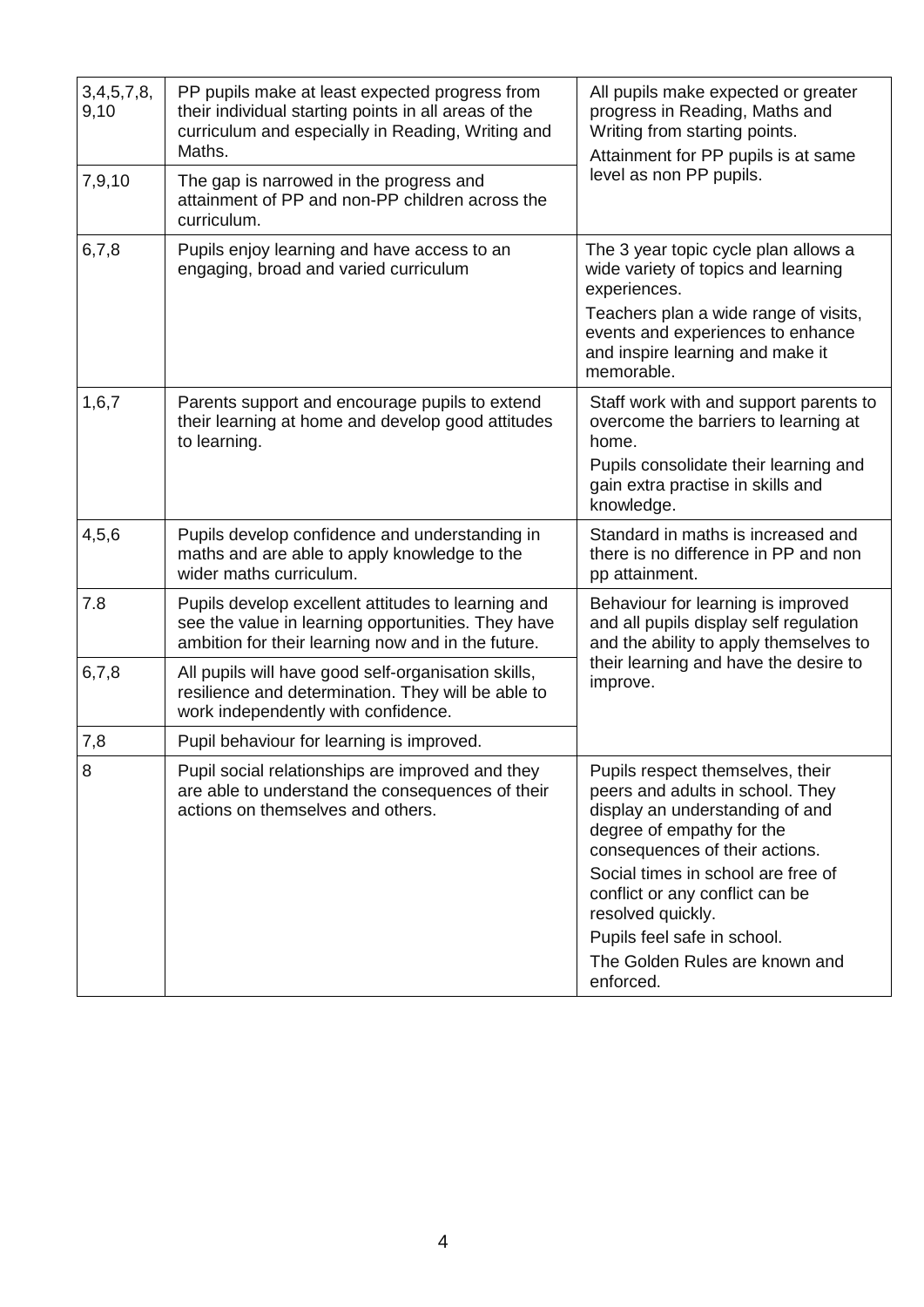| 3,4,5,7,8,<br>9,10 | PP pupils make at least expected progress from<br>their individual starting points in all areas of the<br>curriculum and especially in Reading, Writing and<br>Maths. | All pupils make expected or greater<br>progress in Reading, Maths and<br>Writing from starting points.<br>Attainment for PP pupils is at same                                                                                                                                                                                                      |
|--------------------|-----------------------------------------------------------------------------------------------------------------------------------------------------------------------|----------------------------------------------------------------------------------------------------------------------------------------------------------------------------------------------------------------------------------------------------------------------------------------------------------------------------------------------------|
| 7,9,10             | The gap is narrowed in the progress and<br>attainment of PP and non-PP children across the<br>curriculum.                                                             | level as non PP pupils.                                                                                                                                                                                                                                                                                                                            |
| 6,7,8              | Pupils enjoy learning and have access to an<br>engaging, broad and varied curriculum                                                                                  | The 3 year topic cycle plan allows a<br>wide variety of topics and learning<br>experiences.                                                                                                                                                                                                                                                        |
|                    |                                                                                                                                                                       | Teachers plan a wide range of visits,<br>events and experiences to enhance<br>and inspire learning and make it<br>memorable.                                                                                                                                                                                                                       |
| 1,6,7              | Parents support and encourage pupils to extend<br>their learning at home and develop good attitudes<br>to learning.                                                   | Staff work with and support parents to<br>overcome the barriers to learning at<br>home.                                                                                                                                                                                                                                                            |
|                    |                                                                                                                                                                       | Pupils consolidate their learning and<br>gain extra practise in skills and<br>knowledge.                                                                                                                                                                                                                                                           |
| 4, 5, 6            | Pupils develop confidence and understanding in<br>maths and are able to apply knowledge to the<br>wider maths curriculum.                                             | Standard in maths is increased and<br>there is no difference in PP and non<br>pp attainment.                                                                                                                                                                                                                                                       |
| 7.8                | Pupils develop excellent attitudes to learning and<br>see the value in learning opportunities. They have<br>ambition for their learning now and in the future.        | Behaviour for learning is improved<br>and all pupils display self regulation<br>and the ability to apply themselves to                                                                                                                                                                                                                             |
| 6,7,8              | All pupils will have good self-organisation skills,<br>resilience and determination. They will be able to<br>work independently with confidence.                      | their learning and have the desire to<br>improve.                                                                                                                                                                                                                                                                                                  |
| 7,8                | Pupil behaviour for learning is improved.                                                                                                                             |                                                                                                                                                                                                                                                                                                                                                    |
| 8                  | Pupil social relationships are improved and they<br>are able to understand the consequences of their<br>actions on themselves and others.                             | Pupils respect themselves, their<br>peers and adults in school. They<br>display an understanding of and<br>degree of empathy for the<br>consequences of their actions.<br>Social times in school are free of<br>conflict or any conflict can be<br>resolved quickly.<br>Pupils feel safe in school.<br>The Golden Rules are known and<br>enforced. |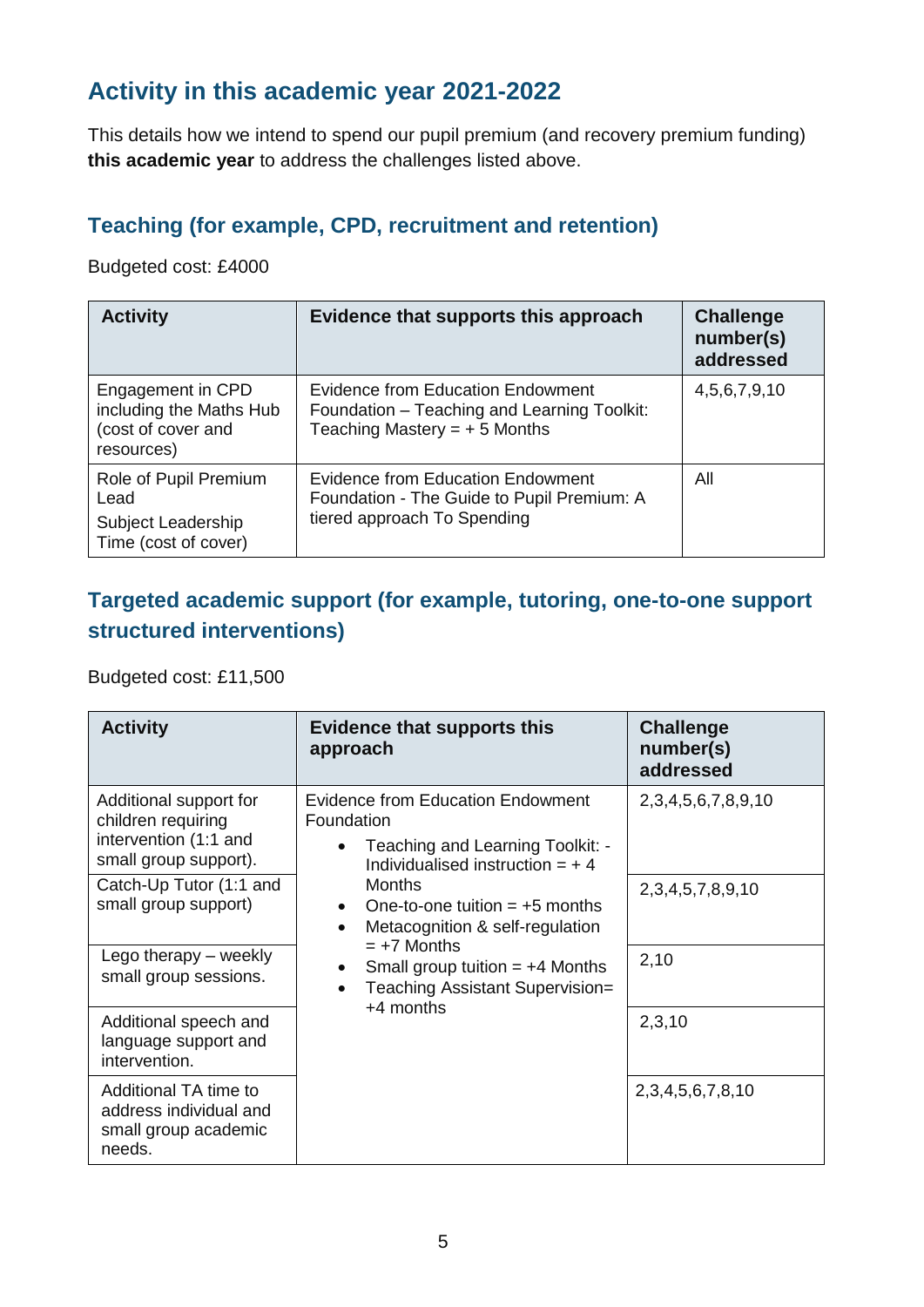### **Activity in this academic year 2021-2022**

This details how we intend to spend our pupil premium (and recovery premium funding) **this academic year** to address the challenges listed above.

#### **Teaching (for example, CPD, recruitment and retention)**

Budgeted cost: £4000

| <b>Activity</b>                                                                  | Evidence that supports this approach                                                                                      | <b>Challenge</b><br>number(s)<br>addressed |
|----------------------------------------------------------------------------------|---------------------------------------------------------------------------------------------------------------------------|--------------------------------------------|
| Engagement in CPD<br>including the Maths Hub<br>(cost of cover and<br>resources) | <b>Evidence from Education Endowment</b><br>Foundation – Teaching and Learning Toolkit:<br>Teaching Mastery = $+5$ Months | 4,5,6,7,9,10                               |
| Role of Pupil Premium<br>Lead<br>Subject Leadership<br>Time (cost of cover)      | Evidence from Education Endowment<br>Foundation - The Guide to Pupil Premium: A<br>tiered approach To Spending            | All                                        |

#### **Targeted academic support (for example, tutoring, one-to-one support structured interventions)**

Budgeted cost: £11,500

| <b>Activity</b>                                                                                | <b>Evidence that supports this</b><br>approach                                                                                  | <b>Challenge</b><br>number(s)<br>addressed |
|------------------------------------------------------------------------------------------------|---------------------------------------------------------------------------------------------------------------------------------|--------------------------------------------|
| Additional support for<br>children requiring<br>intervention (1:1 and<br>small group support). | <b>Evidence from Education Endowment</b><br>Foundation<br>Teaching and Learning Toolkit: -<br>Individualised instruction $= +4$ | 2, 3, 4, 5, 6, 7, 8, 9, 10                 |
| Catch-Up Tutor (1:1 and<br>small group support)                                                | <b>Months</b><br>One-to-one tuition $= +5$ months<br>Metacognition & self-regulation<br>$\bullet$                               | 2, 3, 4, 5, 7, 8, 9, 10                    |
| Lego therapy – weekly<br>small group sessions.                                                 | $= +7$ Months<br>Small group tuition $= +4$ Months<br>Teaching Assistant Supervision=<br>$+4$ months                            | 2,10                                       |
| Additional speech and<br>language support and<br>intervention.                                 |                                                                                                                                 | 2,3,10                                     |
| Additional TA time to<br>address individual and<br>small group academic<br>needs.              |                                                                                                                                 | 2, 3, 4, 5, 6, 7, 8, 10                    |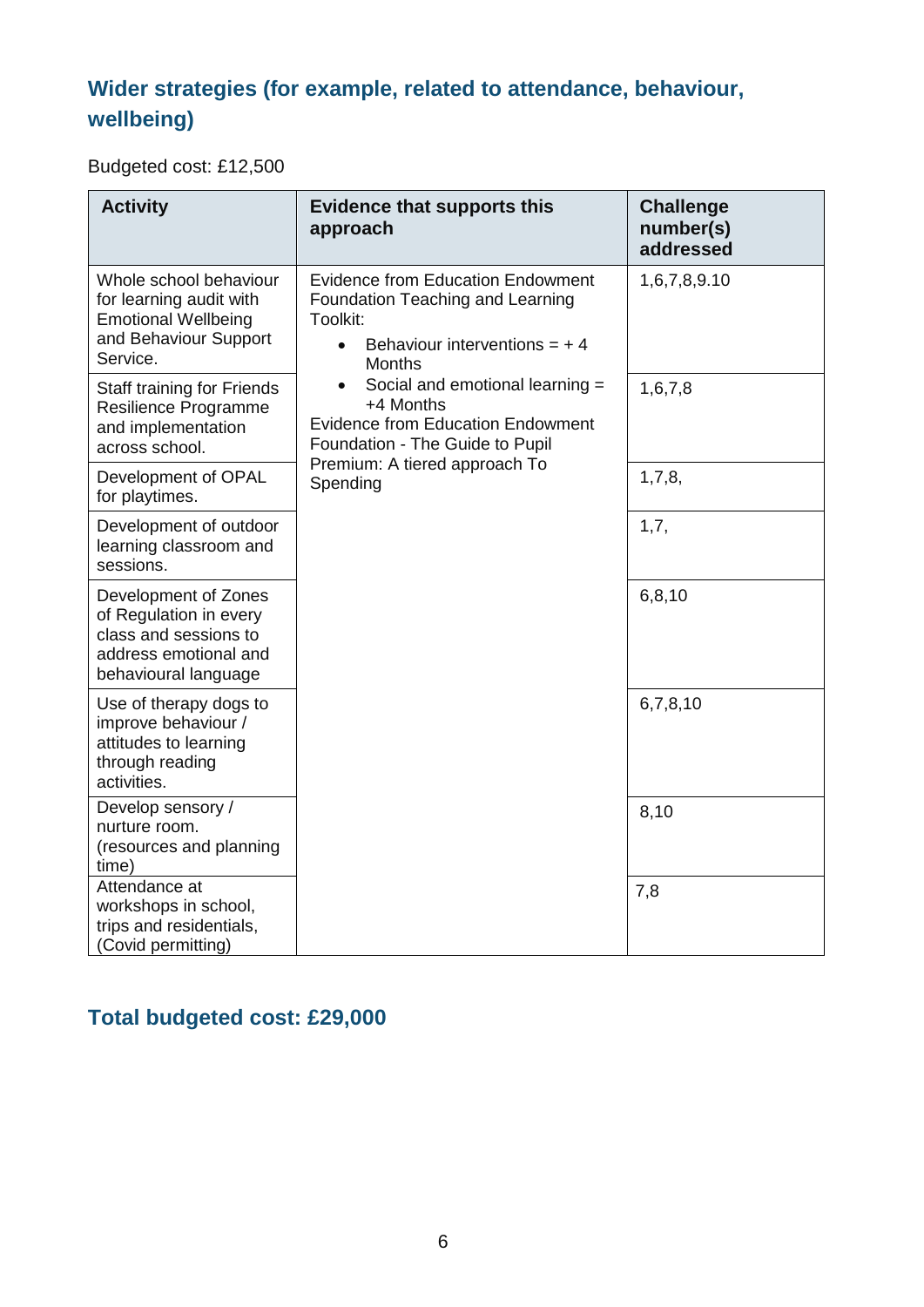# **Wider strategies (for example, related to attendance, behaviour, wellbeing)**

Budgeted cost: £12,500

| <b>Activity</b>                                                                                                          | <b>Evidence that supports this</b><br>approach                                                                                                           | <b>Challenge</b><br>number(s)<br>addressed |
|--------------------------------------------------------------------------------------------------------------------------|----------------------------------------------------------------------------------------------------------------------------------------------------------|--------------------------------------------|
| Whole school behaviour<br>for learning audit with<br><b>Emotional Wellbeing</b><br>and Behaviour Support<br>Service.     | <b>Evidence from Education Endowment</b><br>Foundation Teaching and Learning<br>Toolkit:<br>Behaviour interventions = $+4$<br>$\bullet$<br><b>Months</b> | 1,6,7,8,9.10                               |
| Staff training for Friends<br>Resilience Programme<br>and implementation<br>across school.                               | Social and emotional learning =<br>+4 Months<br><b>Evidence from Education Endowment</b><br>Foundation - The Guide to Pupil                              | 1,6,7,8                                    |
| Development of OPAL<br>for playtimes.                                                                                    | Premium: A tiered approach To<br>Spending                                                                                                                | 1,7,8,                                     |
| Development of outdoor<br>learning classroom and<br>sessions.                                                            |                                                                                                                                                          | 1,7,                                       |
| Development of Zones<br>of Regulation in every<br>class and sessions to<br>address emotional and<br>behavioural language |                                                                                                                                                          | 6,8,10                                     |
| Use of therapy dogs to<br>improve behaviour /<br>attitudes to learning<br>through reading<br>activities.                 |                                                                                                                                                          | 6,7,8,10                                   |
| Develop sensory /<br>nurture room.<br>(resources and planning<br>time)                                                   |                                                                                                                                                          | 8,10                                       |
| Attendance at<br>workshops in school,<br>trips and residentials,<br>(Covid permitting)                                   |                                                                                                                                                          | 7,8                                        |

# **Total budgeted cost: £29,000**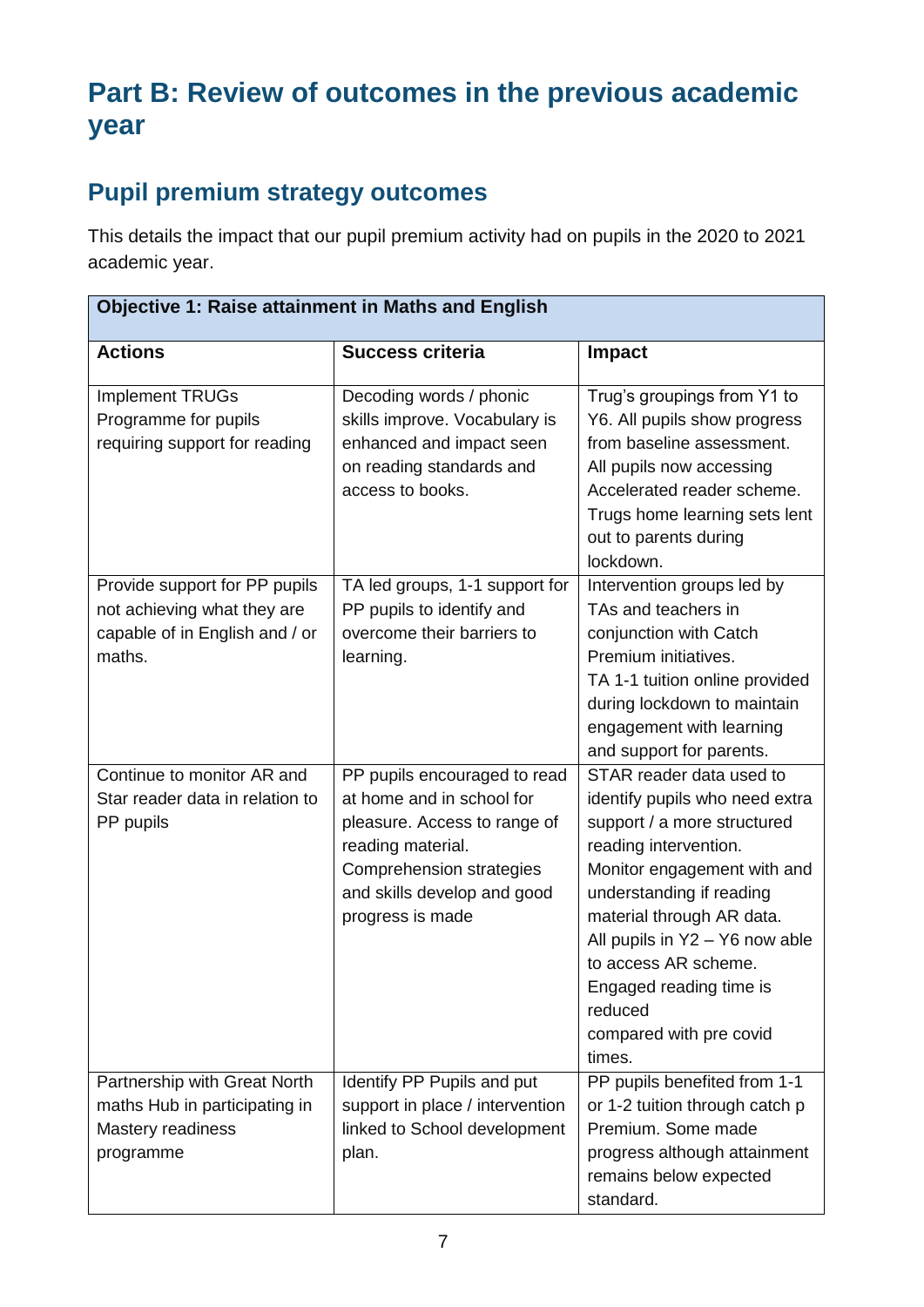# **Part B: Review of outcomes in the previous academic year**

# **Pupil premium strategy outcomes**

This details the impact that our pupil premium activity had on pupils in the 2020 to 2021 academic year.

| <b>Objective 1: Raise attainment in Maths and English</b>                                                |                                                                                                                                                                                               |                                                                                                                                                                                                                                                                                                                                                 |  |
|----------------------------------------------------------------------------------------------------------|-----------------------------------------------------------------------------------------------------------------------------------------------------------------------------------------------|-------------------------------------------------------------------------------------------------------------------------------------------------------------------------------------------------------------------------------------------------------------------------------------------------------------------------------------------------|--|
| <b>Actions</b>                                                                                           | <b>Success criteria</b>                                                                                                                                                                       | <b>Impact</b>                                                                                                                                                                                                                                                                                                                                   |  |
| <b>Implement TRUGs</b><br>Programme for pupils<br>requiring support for reading                          | Decoding words / phonic<br>skills improve. Vocabulary is<br>enhanced and impact seen<br>on reading standards and<br>access to books.                                                          | Trug's groupings from Y1 to<br>Y6. All pupils show progress<br>from baseline assessment.<br>All pupils now accessing<br>Accelerated reader scheme.<br>Trugs home learning sets lent<br>out to parents during<br>lockdown.                                                                                                                       |  |
| Provide support for PP pupils<br>not achieving what they are<br>capable of in English and / or<br>maths. | TA led groups, 1-1 support for<br>PP pupils to identify and<br>overcome their barriers to<br>learning.                                                                                        | Intervention groups led by<br>TAs and teachers in<br>conjunction with Catch<br>Premium initiatives.<br>TA 1-1 tuition online provided<br>during lockdown to maintain<br>engagement with learning<br>and support for parents.                                                                                                                    |  |
| Continue to monitor AR and<br>Star reader data in relation to<br>PP pupils                               | PP pupils encouraged to read<br>at home and in school for<br>pleasure. Access to range of<br>reading material.<br>Comprehension strategies<br>and skills develop and good<br>progress is made | STAR reader data used to<br>identify pupils who need extra<br>support / a more structured<br>reading intervention.<br>Monitor engagement with and<br>understanding if reading<br>material through AR data.<br>All pupils in Y2 - Y6 now able<br>to access AR scheme.<br>Engaged reading time is<br>reduced<br>compared with pre covid<br>times. |  |
| Partnership with Great North<br>maths Hub in participating in<br>Mastery readiness<br>programme          | Identify PP Pupils and put<br>support in place / intervention<br>linked to School development<br>plan.                                                                                        | PP pupils benefited from 1-1<br>or 1-2 tuition through catch p<br>Premium. Some made<br>progress although attainment<br>remains below expected<br>standard.                                                                                                                                                                                     |  |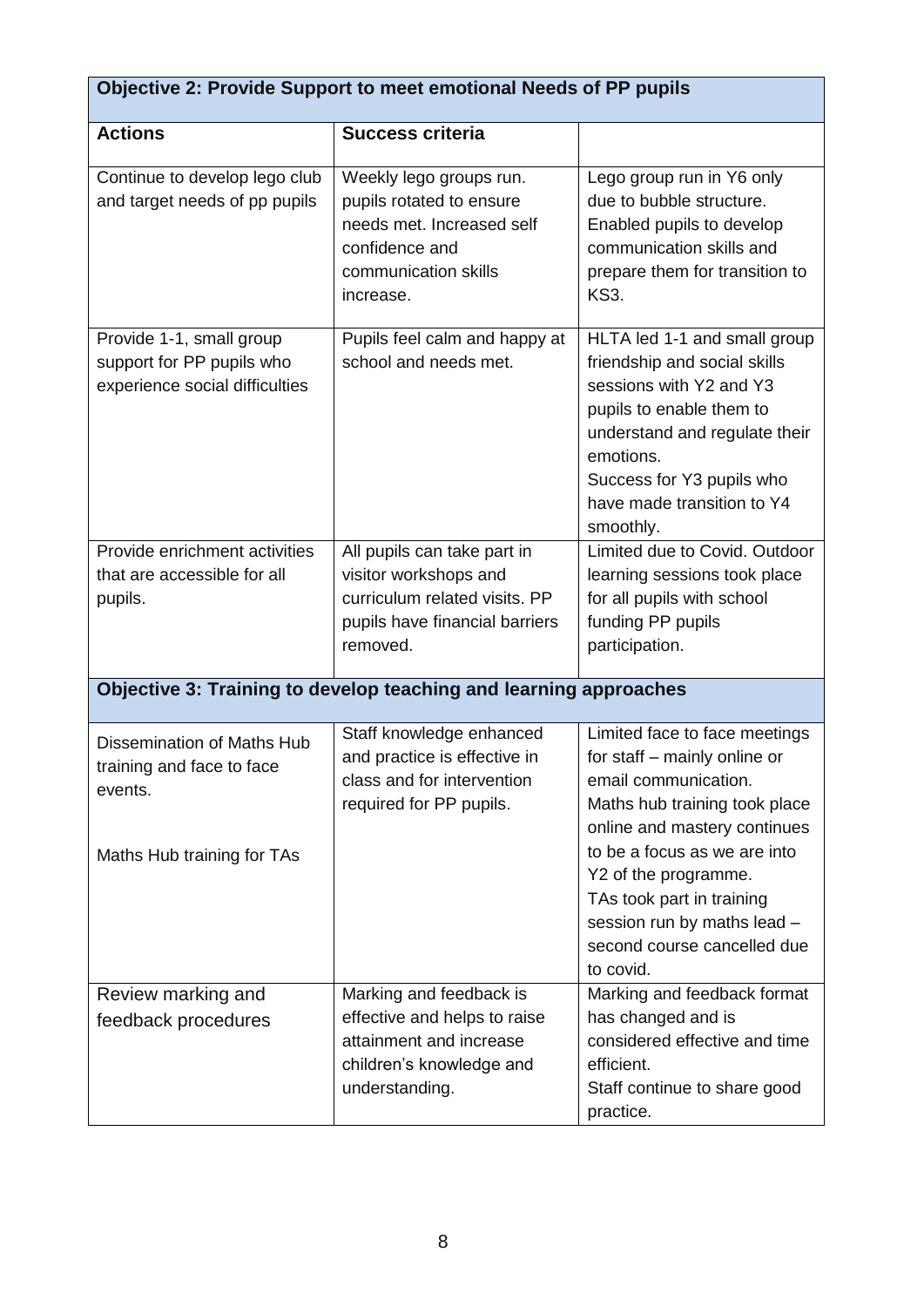| Objective 2: Provide Support to meet emotional Needs of PP pupils                                |                                                                                                                                         |                                                                                                                                                                                                                                           |  |
|--------------------------------------------------------------------------------------------------|-----------------------------------------------------------------------------------------------------------------------------------------|-------------------------------------------------------------------------------------------------------------------------------------------------------------------------------------------------------------------------------------------|--|
| <b>Actions</b>                                                                                   | <b>Success criteria</b>                                                                                                                 |                                                                                                                                                                                                                                           |  |
| Continue to develop lego club<br>and target needs of pp pupils                                   | Weekly lego groups run.<br>pupils rotated to ensure<br>needs met. Increased self<br>confidence and<br>communication skills<br>increase. | Lego group run in Y6 only<br>due to bubble structure.<br>Enabled pupils to develop<br>communication skills and<br>prepare them for transition to<br><b>KS3.</b>                                                                           |  |
| Provide 1-1, small group<br>support for PP pupils who<br>experience social difficulties          | Pupils feel calm and happy at<br>school and needs met.                                                                                  | HLTA led 1-1 and small group<br>friendship and social skills<br>sessions with Y2 and Y3<br>pupils to enable them to<br>understand and regulate their<br>emotions.<br>Success for Y3 pupils who<br>have made transition to Y4<br>smoothly. |  |
| Provide enrichment activities<br>that are accessible for all<br>pupils.                          | All pupils can take part in<br>visitor workshops and<br>curriculum related visits. PP<br>pupils have financial barriers<br>removed.     | Limited due to Covid. Outdoor<br>learning sessions took place<br>for all pupils with school<br>funding PP pupils<br>participation.                                                                                                        |  |
|                                                                                                  | Objective 3: Training to develop teaching and learning approaches                                                                       |                                                                                                                                                                                                                                           |  |
| Dissemination of Maths Hub<br>training and face to face<br>events.<br>Maths Hub training for TAs | Staff knowledge enhanced<br>and practice is effective in<br>class and for intervention<br>required for PP pupils.                       | Limited face to face meetings<br>for staff – mainly online or<br>email communication.<br>Maths hub training took place<br>online and mastery continues<br>to be a focus as we are into<br>Y2 of the programme.                            |  |
|                                                                                                  |                                                                                                                                         | TAs took part in training<br>session run by maths lead -<br>second course cancelled due<br>to covid.                                                                                                                                      |  |
| Review marking and<br>feedback procedures                                                        | Marking and feedback is<br>effective and helps to raise<br>attainment and increase<br>children's knowledge and<br>understanding.        | Marking and feedback format<br>has changed and is<br>considered effective and time<br>efficient.<br>Staff continue to share good<br>practice.                                                                                             |  |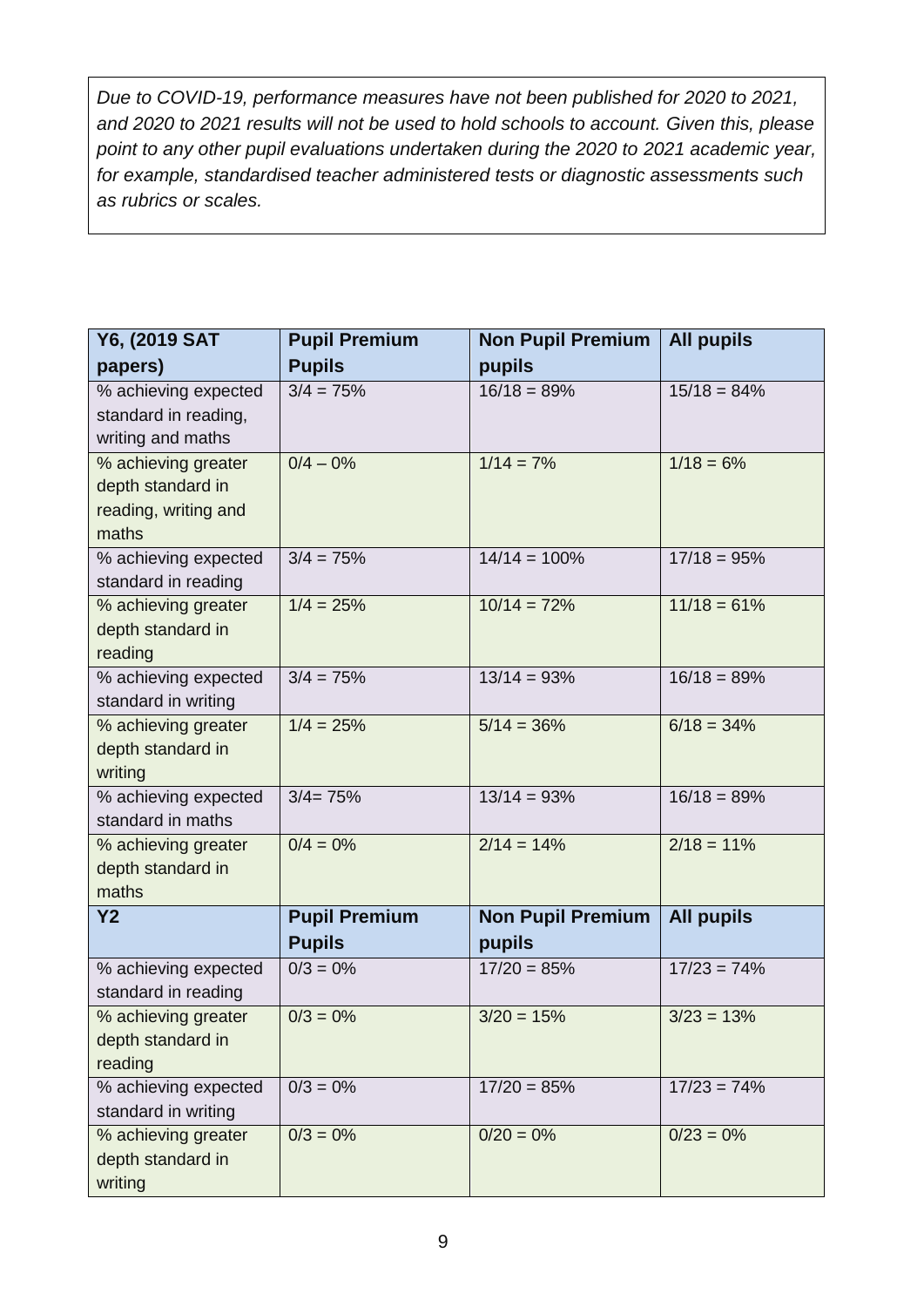*Due to COVID-19, performance measures have not been published for 2020 to 2021, and 2020 to 2021 results will not be used to hold schools to account. Given this, please point to any other pupil evaluations undertaken during the 2020 to 2021 academic year, for example, standardised teacher administered tests or diagnostic assessments such as rubrics or scales.*

| Y6, (2019 SAT                            | <b>Pupil Premium</b> | <b>Non Pupil Premium</b> | <b>All pupils</b> |
|------------------------------------------|----------------------|--------------------------|-------------------|
| papers)                                  | <b>Pupils</b>        | pupils                   |                   |
| % achieving expected                     | $3/4 = 75%$          | $16/18 = 89%$            | $15/18 = 84%$     |
| standard in reading,                     |                      |                          |                   |
| writing and maths                        |                      |                          |                   |
| % achieving greater<br>depth standard in | $0/4 - 0%$           | $1/14 = 7%$              | $1/18 = 6\%$      |
| reading, writing and                     |                      |                          |                   |
| maths                                    |                      |                          |                   |
| % achieving expected                     | $3/4 = 75%$          | $14/14 = 100%$           | $17/18 = 95%$     |
| standard in reading                      |                      |                          |                   |
| % achieving greater                      | $1/4 = 25%$          | $10/14 = 72%$            | $11/18 = 61%$     |
| depth standard in                        |                      |                          |                   |
| reading                                  |                      |                          |                   |
| % achieving expected                     | $3/4 = 75%$          | $13/14 = 93%$            | $16/18 = 89%$     |
| standard in writing                      |                      |                          |                   |
| % achieving greater<br>depth standard in | $1/4 = 25%$          | $5/14 = 36%$             | $6/18 = 34%$      |
| writing                                  |                      |                          |                   |
| % achieving expected                     | $3/4 = 75%$          | $13/14 = 93%$            | $16/18 = 89%$     |
| standard in maths                        |                      |                          |                   |
| % achieving greater                      | $0/4 = 0%$           | $2/14 = 14%$             | $2/18 = 11\%$     |
| depth standard in                        |                      |                          |                   |
| maths                                    |                      |                          |                   |
| <b>Y2</b>                                | <b>Pupil Premium</b> | <b>Non Pupil Premium</b> | <b>All pupils</b> |
|                                          | <b>Pupils</b>        | pupils                   |                   |
| % achieving expected                     | $0/3 = 0%$           | $17/20 = 85%$            | $17/23 = 74%$     |
| standard in reading                      |                      |                          |                   |
| % achieving greater<br>depth standard in | $0/3 = 0\%$          | $3/20 = 15%$             | $3/23 = 13%$      |
| reading                                  |                      |                          |                   |
| % achieving expected                     | $0/3 = 0%$           | $17/20 = 85%$            | $17/23 = 74%$     |
| standard in writing                      |                      |                          |                   |
| % achieving greater                      | $0/3 = 0%$           | $0/20 = 0\%$             | $0/23 = 0%$       |
| depth standard in                        |                      |                          |                   |
| writing                                  |                      |                          |                   |